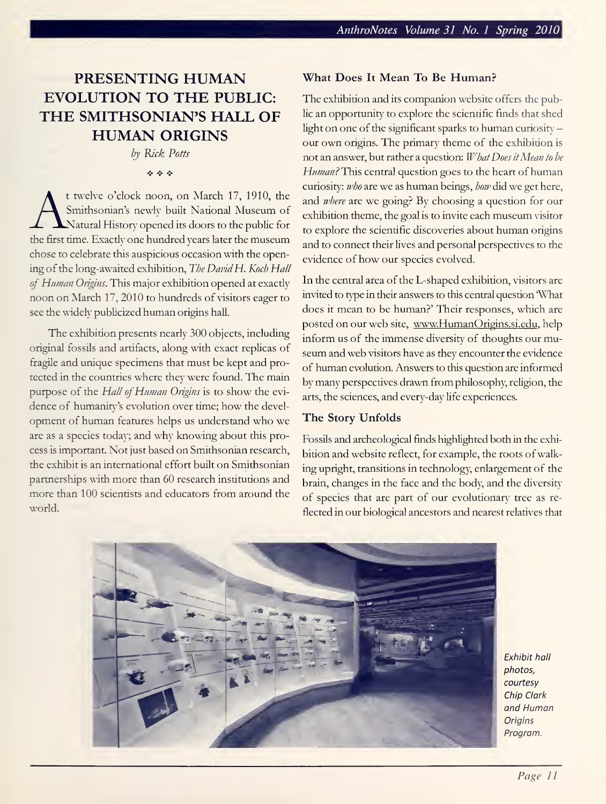# PRESENTING HUMAN EVOLUTION TO THE PUBLIC: THE SMITHSONIAN'S HALL OF HUMAN ORIGINS

by Rick Potts

 $\phi_1(\phi_2(\phi_1))$ 

<sup>t</sup> twelve o'clock noon, on March 17, 1910, the argument of the Smithsonian's newly built National Museum of ex Natural History opened its doors to the public for the first time. Exactly one hundred years later the museum chose to celebrate this auspicious occasion with the opening of the long-awaited exhibition, The David H. Koch Hall of Human Origins. This major exhibition opened at exactly noon on March 17, 2010 to hundreds of visitors eager to see the widely publicized human origins hall.

The exhibition presents nearly 300 objects, including original fossils and artifacts, along with exact replicas of fragile and unique specimens that must be kept and protected in the countries where they were found. The main purpose of the Hall of Human Origins is to show the evidence of humanity's evolution over time; how the development of human features helps us understand who we are as a species today; and why knowing about this process is important. Not just based on Smithsonian research, the exhibit is an international effort built on Smithsonian partnerships with more than 60 research institutions and more than 100 scientists and educators from around the world.

#### What Does It Mean To Be Human?

The exhibition and its companion website offers the public an opportunity to explore the scientific finds that shed light on one of the significant sparks to human curiosity our own origins. The primary theme of the exhibition is not an answer, but rather a question: What Does it Mean to be Human? This central question goes to the heart of human curiosity: who are we as human beings, how did we get here, and where are we going? By choosing <sup>a</sup> question for our exhibition theme, the goal is to invite each museum visitor to explore the scientific discoveries about human origins and to connect their lives and personal perspectives to the evidence of how our species evolved.

In the central area of the L-shaped exhibition, visitors are invited to type in their answers to this central question What does it mean to be human?' Their responses, which are posted on our web site, www.HumanOrigins.si.edu, help inform us of the immense diversity of thoughts our museum and web visitors have as they encounter the evidence of human evolution. Answers to this question are informed by many perspectives drawn from philosophy, religion, the arts, the sciences, and every-day life experiences.

### The Story Unfolds

Fossils and archeological finds highlighted both in the exhibition and website reflect, for example, the roots of walking upright, transitions in technology, enlargement of the brain, changes in the face and the body, and the diversity of species that are part of our evolutionary tree as re flected in our biological ancestors and nearest relatives that



Exhibit hall photos, courtesy Chip Clark and Human **Origins** Program.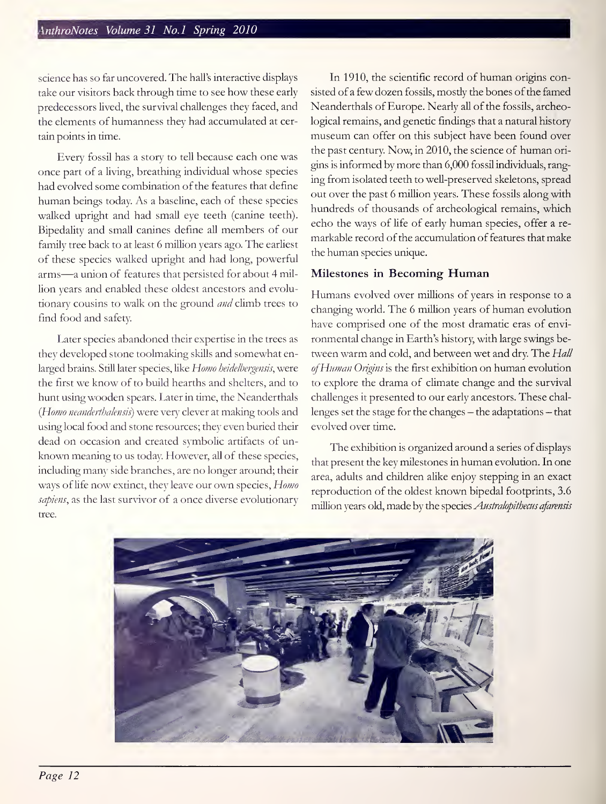science has so far uncovered. The hall's interactive displays take our visitors back through time to see how these early predecessors lived, the survival challenges they faced, and the elements of humanness they had accumulated at certain points in time.

Every fossil has a story to tell because each one was once part of <sup>a</sup> living, breathing individual whose species had evolved some combination of the features that define human beings today. As <sup>a</sup> baseline, each of these species walked upright and had small eye teeth (canine teeth). Bipedality and small canines define all members of our family tree back to at least 6 million years ago. The earliest of these species walked upright and had long, powerful arms—<sup>a</sup> union of features that persisted for about <sup>4</sup> million years and enabled these oldest ancestors and evolutionary cousins to walk on the ground *and* climb trees to find food and safety.

Later species abandoned their expertise in the trees as they developed stone toolmaking skills and somewhat enlarged brains. Still later species, like Homo heidelbergensis, were the first we know of to build hearths and shelters, and to hunt using wooden spears. Later in time, the Neanderthals (Homo neanderthalensis) were very clever at making tools and using local food and stone resources; they even buried their dead on occasion and created symbolic artifacts of un known meaning to us today. However, all of these species, including many side branches, are no longer around; their ways of life now extinct, they leave our own species, Homo sapiens, as the last survivor of a once diverse evolutionary tree.

In 1910, the scientific record of human origins consisted of a few dozen fossils, mostly the bones of the famed Neanderthals of Europe. Nearly all of the fossils, archeological remains, and genetic findings that a natural history museum can offer on this subject have been found over the past century. Now, in 2010, the science of human ori gins is informed by more than 6,000 fossil individuals, rang ing from isolated teeth to well-preserved skeletons, spread out over the past 6 million years. These fossils along with hundreds of thousands of archeological remains, which echo the ways of life of early human species, offer a re markable record of the accumulation of features that make the human species unique.

# Milestones in Becoming Human

Humans evolved over millions of years in response to <sup>a</sup> changing world. The 6 million years of human evolution have comprised one of the most dramatic eras of environmental change in Earth's history, with large swings between warm and cold, and between wet and dry. The Hall of Human Origins is the first exhibition on human evolution to explore the drama of climate change and the survival challenges it presented to our early ancestors. These chal lenges set the stage for the changes — the adaptations — that evolved over time.

The exhibition is organized around a series of displays that present the key milestones in human evolution. In one area, adults and children alike enjoy stepping in an exact reproduction of the oldest known bipedal footprints, 3.6 million years old, made by the species Australopithecus afarensis

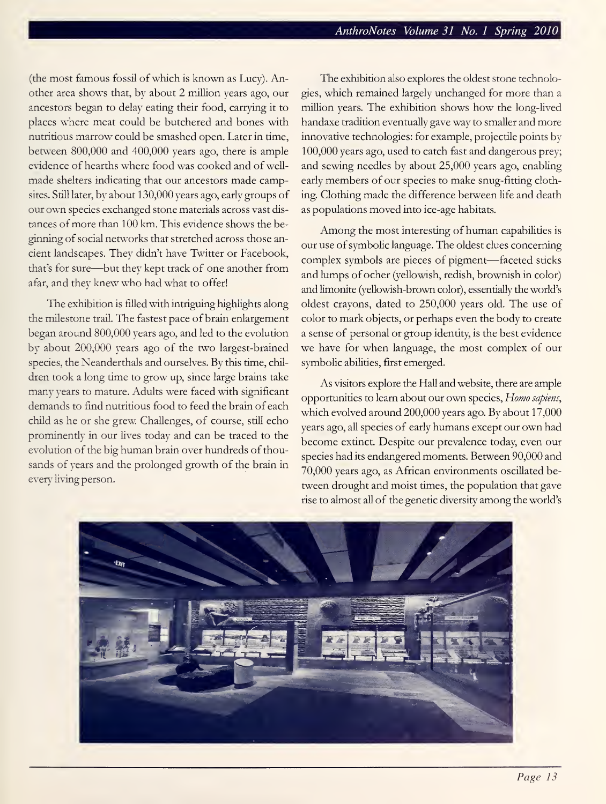(the most famous fossil of which is known as Lucy). Another area shows that, by about 2 million years ago, our ancestors began to delay eating their food, carrying it to places where meat could be butchered and bones with nutritious marrow could be smashed open. Later in time, between 800,000 and 400,000 years ago, there is ample evidence of hearths where food was cooked and of well made shelters indicating that our ancestors made campsites. Still later, by about 130,000 years ago, early groups of our own species exchanged stone materials across vast dis tances of more than 100 km. This evidence shows the beginning of social networks that stretched across those ancient landscapes. They didn't have Twitter or Facebook, that's for sure—but thev kept track of one another from afar, and they knew who had what to offer!

The exhibition is filled with intriguing highlights along the milestone trail. The fastest pace of brain enlargement began around 800,000 years ago, and led to the evolution by about 200,000 years ago of the two largest-brained species, the Neanderthals and ourselves. By this time, chil dren took a long time to grow up, since large brains take many years to mature. Adults were faced with significant demands to find nutritious food to feed the brain of each child as he or she grew. Challenges, of course, still echo prominently in our lives today and can be traced to the evolution of the big human brain over hundreds of thousands of years and the prolonged growth of the brain in every living person.

The exhibition also explores the oldest stone technologies, which remained largely unchanged for more than <sup>a</sup> million years. The exhibition shows how the long-lived handaxe tradition eventually gave way to smaller and more innovative technologies: for example, projectile points by 100,000 years ago, used to catch fast and dangerous prey; and sewing needles by about 25,000 years ago, enabling early members of our species to make snug-fitting clothing. Clothing made the difference between life and death as populations moved into ice-age habitats.

Among the most interesting of human capabilities is our use of symbolic language. The oldest clues concerning complex symbols are pieces of pigment—faceted sticks and lumps of ocher (yellowish, redish, brownish in color) and limonite (yellowish-brown color), essentially the world's oldest crayons, dated to 250,000 years old. The use of color to mark objects, or perhaps even the body to create a sense of personal or group identity, is the best evidence we have for when language, the most complex of our symbolic abilities, first emerged.

As visitors explore the Hall and website, there are ample opportunities to learn about our own species, Homo sapiens, which evolved around 200,000 years ago. By about 17,000 years ago, all species of early humans except our own had become extinct. Despite our prevalence today, even our species had its endangered moments. Between 90,000 and 70,000 years ago, as African environments oscillated between drought and moist times, the population that gave rise to almost all of the genetic diversity among the world's

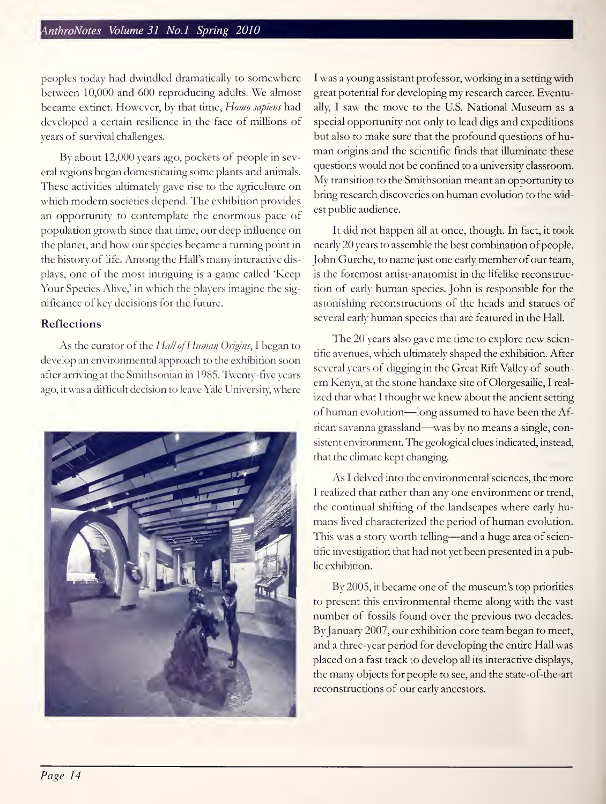peoples today had dwindled dramatically to somewhere between 10,000 and 600 reproducing adults. We almost became extinct. However, by that time, Homo sapiens had developed a certain resilience in the face of millions of years of survival challenges.

By about 12,000 years ago, pockets of people in several regions began domesticating some plants and animals. These activities ultimately gave rise to the agriculture on which modern societies depend. The exhibition provides an opportunity to contemplate the enormous pace of population growth since that time, our deep influence on the planet, and how our species became a turning point in the history of life. Among the Hall's many interactive dis plays, one of the most intriguing is <sup>a</sup> game called 'Keep Your Species Alive,' in which the players imagine the significance of key decisions for the future.

## Reflections

As the curator of the Hall of Human Origins, I began to develop an environmental approach to the exhibition soon after arriving at the Smithsonian in <sup>1</sup> 985. Twenty-five years ago, it was a difficult decision to leave Yale University, where



<sup>I</sup> was a young assistant professor, working in a setting with great potential for developing my research career. Eventually, <sup>I</sup> saw the move to the U.S. National Museum as <sup>a</sup> special opportunity not only to lead digs and expeditions but also to make sure that the profound questions of human origins and the scientific finds that illuminate these questions would not be confined to a university classroom. My transition to the Smithsonian meant an opportunity to bring research discoveries on human evolution to the widest public audience.

It did not happen all at once, though. In fact, it took nearly 20 years to assemble the best combination of people. John Gurche, to name just one early member of our team, is the foremost artist-anatomist in the lifelike reconstruction of early human species. John is responsible for the astonishing reconstructions of the heads and statues of several early human species that are featured in the Hall.

The 20 years also gave me time to explore new scientific avenues, which ultimately shaped the exhibition. After several years of digging in the Great Rift Valley of southern Kenya, at the stone handaxe site of Olorgesailie, <sup>I</sup> real ized that what <sup>I</sup> thought we knew about the ancient setting of human evolution—long assumed to have been the African savanna grassland—was by no means <sup>a</sup> single, consistent environment. The geological clues indicated, instead, that the climate kept changing.

As <sup>I</sup> delved into the environmental sciences, the more <sup>I</sup> realized that rather than any one environment or trend, the continual shifting of the landscapes where early hu mans lived characterized the period of human evolution. This was <sup>a</sup> story worth telling—and <sup>a</sup> huge area of scientific investigation that had not yet been presented in a public exhibition.

By 2005, it became one of the museum's top priorities to present this environmental theme along with the vast number of fossils found over the previous two decades. By January 2007, our exhibition core team began to meet, and a three-year period for developing the entire Hall was placed on a fast track to develop all its interactive displays, the many objects for people to see, and the state-of-the-art reconstructions of our early ancestors.